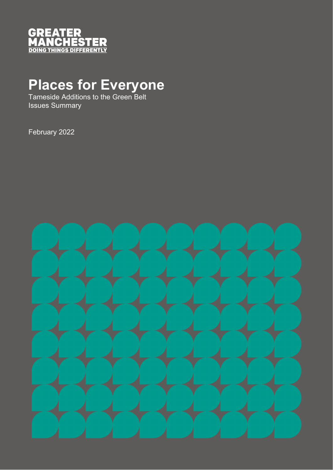

## **Places for Everyone**

Tameside Additions to the Green Belt Issues Summary

February 2022

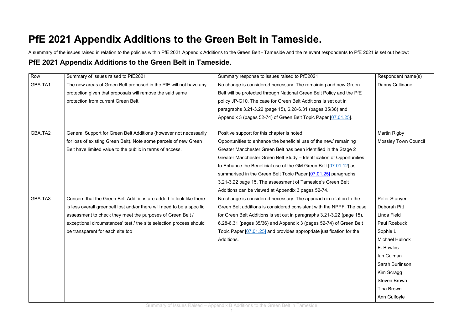## **PfE 2021 Appendix Additions to the Green Belt in Tameside.**

A summary of the issues raised in relation to the policies within PfE 2021 Appendix Additions to the Green Belt - Tameside and the relevant respondents to PfE 2021 is set out below: **PfE 2021 Appendix Additions to the Green Belt in Tameside.**

| Row     | Summary of issues raised to PfE2021                                    | Summary response to issues raised to PfE2021                           | Respondent name(s)          |
|---------|------------------------------------------------------------------------|------------------------------------------------------------------------|-----------------------------|
| GBA.TA1 | The new areas of Green Belt proposed in the PfE will not have any      | No change is considered necessary. The remaining and new Green         | Danny Cullinane             |
|         | protection given that proposals will remove the said same              | Belt will be protected through National Green Belt Policy and the PfE  |                             |
|         | protection from current Green Belt.                                    | policy JP-G10. The case for Green Belt Additions is set out in         |                             |
|         |                                                                        | paragraphs 3.21-3.22 (page 15), 6.28-6.31 (pages 35/36) and            |                             |
|         |                                                                        | Appendix 3 (pages 52-74) of Green Belt Topic Paper [07.01.25].         |                             |
|         |                                                                        |                                                                        |                             |
| GBA.TA2 | General Support for Green Belt Additions (however not necessarily      | Positive support for this chapter is noted.                            | <b>Martin Rigby</b>         |
|         | for loss of existing Green Belt). Note some parcels of new Green       | Opportunities to enhance the beneficial use of the new/ remaining      | <b>Mossley Town Council</b> |
|         | Belt have limited value to the public in terms of access.              | Greater Manchester Green Belt has been identified in the Stage 2       |                             |
|         |                                                                        | Greater Manchester Green Belt Study – Identification of Opportunities  |                             |
|         |                                                                        | to Enhance the Beneficial use of the GM Green Belt [07.01.12] as       |                             |
|         |                                                                        | summarised in the Green Belt Topic Paper [07.01.25] paragraphs         |                             |
|         |                                                                        | 3.21-3.22 page 15. The assessment of Tameside's Green Belt             |                             |
|         |                                                                        | Additions can be viewed at Appendix 3 pages 52-74.                     |                             |
| GBA.TA3 | Concern that the Green Belt Additions are added to look like there     | No change is considered necessary. The approach in relation to the     | Peter Stanyer               |
|         | is less overall greenbelt lost and/or there will need to be a specific | Green Belt additions is considered consistent with the NPPF. The case  | Deborah Pitt                |
|         | assessment to check they meet the purposes of Green Belt /             | for Green Belt Additions is set out in paragraphs 3.21-3.22 (page 15), | Linda Field                 |
|         | exceptional circumstances' test / the site selection process should    | 6.28-6.31 (pages 35/36) and Appendix 3 (pages 52-74) of Green Belt     | Paul Roebuck                |
|         | be transparent for each site too                                       | Topic Paper [07.01.25] and provides appropriate justification for the  | Sophie L                    |
|         |                                                                        | Additions.                                                             | <b>Michael Hullock</b>      |
|         |                                                                        |                                                                        | E. Bowles                   |
|         |                                                                        |                                                                        | Ian Culman                  |
|         |                                                                        |                                                                        | Sarah Burlinson             |
|         |                                                                        |                                                                        | Kim Scragg                  |
|         |                                                                        |                                                                        | Steven Brown                |
|         |                                                                        |                                                                        | Tina Brown                  |
|         |                                                                        |                                                                        | Ann Guifoyle                |